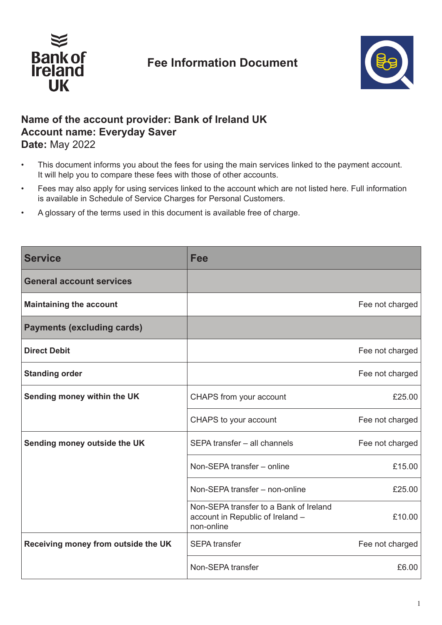

## **Fee Information Document**



## **Name of the account provider: Bank of Ireland UK Account name: Everyday Saver Date:** May 2022

- This document informs you about the fees for using the main services linked to the payment account. It will help you to compare these fees with those of other accounts.
- Fees may also apply for using services linked to the account which are not listed here. Full information is available in Schedule of Service Charges for Personal Customers.
- A glossary of the terms used in this document is available free of charge.

| <b>Service</b>                      | <b>Fee</b>                                                                               |                 |
|-------------------------------------|------------------------------------------------------------------------------------------|-----------------|
| <b>General account services</b>     |                                                                                          |                 |
| <b>Maintaining the account</b>      |                                                                                          | Fee not charged |
| <b>Payments (excluding cards)</b>   |                                                                                          |                 |
| <b>Direct Debit</b>                 |                                                                                          | Fee not charged |
| <b>Standing order</b>               |                                                                                          | Fee not charged |
| Sending money within the UK         | CHAPS from your account                                                                  | £25.00          |
|                                     | CHAPS to your account                                                                    | Fee not charged |
| Sending money outside the UK        | SEPA transfer - all channels                                                             | Fee not charged |
|                                     | Non-SEPA transfer - online                                                               | £15.00          |
|                                     | Non-SEPA transfer - non-online                                                           | £25.00          |
|                                     | Non-SEPA transfer to a Bank of Ireland<br>account in Republic of Ireland -<br>non-online | £10.00          |
| Receiving money from outside the UK | <b>SEPA</b> transfer                                                                     | Fee not charged |
|                                     | Non-SEPA transfer                                                                        | £6.00           |